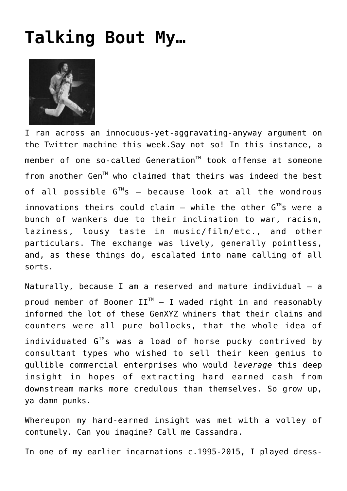## **[Talking Bout My…](http://www.immunetoboredom.com/talking-bout-my/)**



I ran across an innocuous-yet-aggravating-anyway argument on the Twitter machine this week.Say not so! In this instance, a member of one so-called Generation<sup>™</sup> took offense at someone from another Gen<sup>™</sup> who claimed that theirs was indeed the best of all possible  $G^{T M} s$  – because look at all the wondrous innovations theirs could claim – while the other  $G^{TM}$ s were a bunch of wankers due to their inclination to war, racism, laziness, lousy taste in music/film/etc., and other particulars. The exchange was lively, generally pointless, and, as these things do, escalated into name calling of all sorts.

Naturally, because I am a reserved and mature individual – a proud member of Boomer  $II^{TM} - I$  waded right in and reasonably informed the lot of these GenXYZ whiners that their claims and counters were all pure bollocks, that the whole idea of individuated  $G^{TM}$ s was a load of horse pucky contrived by consultant types who wished to sell their keen genius to gullible commercial enterprises who would *leverage* this deep insight in hopes of extracting hard earned cash from downstream marks more credulous than themselves. So grow up, ya damn punks.

Whereupon my hard-earned insight was met with a volley of contumely. Can you imagine? Call me Cassandra.

In one of my earlier incarnations c.1995-2015, I played dress-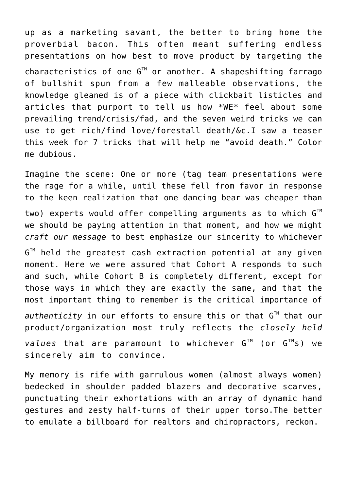up as a marketing savant, the better to bring home the proverbial bacon. This often meant suffering endless presentations on how best to move product by targeting the characteristics of one  $G^{\text{TM}}$  or another. A shapeshifting farrago of bullshit spun from a few malleable observations, the knowledge gleaned is of a piece with clickbait listicles and articles that purport to tell us how \*WE\* feel about some prevailing trend/crisis/fad, and the seven weird tricks we can use to get rich/find love/forestall death/&c.I saw a teaser this week for 7 tricks that will help me "avoid death." Color me dubious.

Imagine the scene: One or more (tag team presentations were the rage for a while, until these fell from favor in response to the keen realization that one dancing bear was cheaper than two) experts would offer compelling arguments as to which  $G^{\text{TM}}$ we should be paying attention in that moment, and how we might *craft our message* to best emphasize our sincerity to whichever  $\mathsf{G}^\mathbb{M}$  held the greatest cash extraction potential at any given moment. Here we were assured that Cohort A responds to such and such, while Cohort B is completely different, except for those ways in which they are exactly the same, and that the most important thing to remember is the critical importance of  $a$ uthenticity in our efforts to ensure this or that  $G^{\mathbb{M}}$  that our product/organization most truly reflects the *closely held values* that are paramount to whichever G™ (or G™s) we sincerely aim to convince.

My memory is rife with garrulous women (almost always women) bedecked in shoulder padded blazers and decorative scarves, punctuating their exhortations with an array of dynamic hand gestures and zesty half-turns of their upper torso.The better to emulate a billboard for realtors and chiropractors, reckon.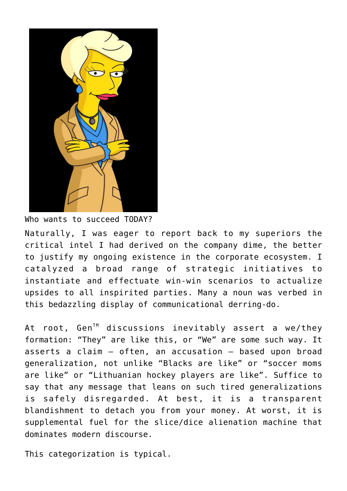

Who wants to succeed TODAY? Naturally, I was eager to report back to my superiors the critical intel I had derived on the company dime, the better to justify my ongoing existence in the corporate ecosystem. I catalyzed a broad range of strategic initiatives to instantiate and effectuate win-win scenarios to actualize upsides to all inspirited parties. Many a noun was verbed in this bedazzling display of communicational derring-do.

At root, Gen<sup>TM</sup> discussions inevitably assert a we/they formation: "They" are like this, or "We" are some such way. It asserts a claim – often, an accusation – based upon broad generalization, not unlike "Blacks are like" or "soccer moms are like" or "Lithuanian hockey players are like". Suffice to say that any message that leans on such tired generalizations is safely disregarded. At best, it is a transparent blandishment to detach you from your money. At worst, it is supplemental fuel for the slice/dice alienation machine that dominates modern discourse.

This categorization is typical.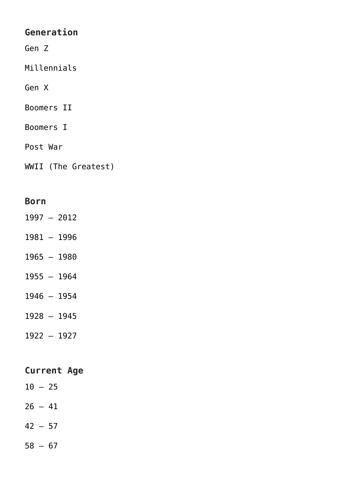## **Generation**

Gen Z

Millennials

Gen X

Boomers II

Boomers I

Post War

WWII (The Greatest)

## **Born**

- 1997 2012
- 1981 1996
- 1965 1980
- 1955 1964
- 1946 1954
- 1928 1945
- 1922 1927

## **Current Age**

- $10 25$
- $26 41$
- $42 57$
- $58 67$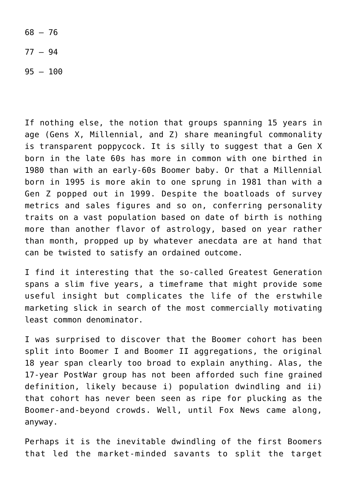$68 - 76$ 

77 – 94

95 – 100

If nothing else, the notion that groups spanning 15 years in age (Gens X, Millennial, and Z) share meaningful commonality is transparent poppycock. It is silly to suggest that a Gen X born in the late 60s has more in common with one birthed in 1980 than with an early-60s Boomer baby. Or that a Millennial born in 1995 is more akin to one sprung in 1981 than with a Gen Z popped out in 1999. Despite the boatloads of survey metrics and sales figures and so on, conferring personality traits on a vast population based on date of birth is nothing more than another flavor of astrology, based on year rather than month, propped up by whatever anecdata are at hand that can be twisted to satisfy an ordained outcome.

I find it interesting that the so-called Greatest Generation spans a slim five years, a timeframe that might provide some useful insight but complicates the life of the erstwhile marketing slick in search of the most commercially motivating least common denominator.

I was surprised to discover that the Boomer cohort has been split into Boomer I and Boomer II aggregations, the original 18 year span clearly too broad to explain anything. Alas, the 17-year PostWar group has not been afforded such fine grained definition, likely because i) population dwindling and ii) that cohort has never been seen as ripe for plucking as the Boomer-and-beyond crowds. Well, until Fox News came along, anyway.

Perhaps it is the inevitable dwindling of the first Boomers that led the market-minded savants to split the target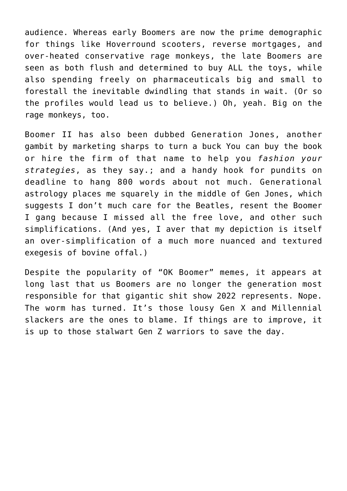audience. Whereas early Boomers are now the prime demographic for things like Hoverround scooters, reverse mortgages, and over-heated conservative rage monkeys, the late Boomers are seen as both flush and determined to buy ALL the toys, while also spending freely on pharmaceuticals big and small to forestall the inevitable dwindling that stands in wait. (Or so the profiles would lead us to believe.) Oh, yeah. Big on the rage monkeys, too.

Boomer II has also been dubbed [Generation Jones,](https://www.nytimes.com/2020/06/23/opinion/baby-boomers-trump.html) another gambit by marketing sharps to turn a buck You can buy the book or hire the firm of that name to help you *fashion your strategies*, as they say.; and a handy hook for pundits on deadline to hang 800 words about not much. Generational astrology places me squarely in the middle of Gen Jones, which suggests I don't much care for the Beatles, resent the Boomer I gang because I missed all the free love, and other such simplifications. (And yes, I aver that my depiction is itself an over-simplification of a much more nuanced and textured exegesis of bovine offal.)

Despite the popularity of "OK Boomer" memes, it appears at long last that us Boomers are no longer the generation most responsible for that gigantic shit show 2022 represents. Nope. The worm has turned. It's those lousy Gen X and Millennial slackers are the ones to blame. If things are to improve, it is up to those stalwart Gen Z warriors to save the day.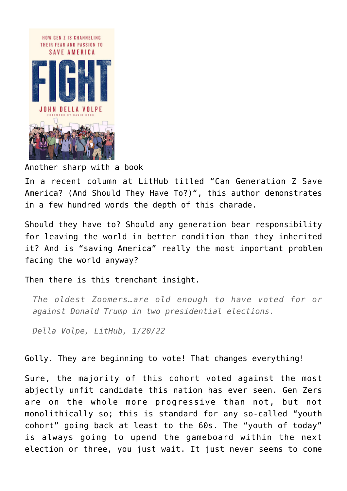

Another sharp with a book

In a recent column at LitHub titled "[Can Generation Z Save](https://lithub.com/can-generation-z-save-america-and-should-they-have-to/) [America? \(And Should They Have To?\)"](https://lithub.com/can-generation-z-save-america-and-should-they-have-to/), this author demonstrates in a few hundred words the depth of this charade.

Should they have to? Should any generation bear responsibility for leaving the world in better condition than they inherited it? And is "saving America" really the most important problem facing the world anyway?

Then there is this trenchant insight.

*The oldest Zoomers…are old enough to have voted for or against Donald Trump in two presidential elections.*

*Della Volpe, LitHub, 1/20/22*

Golly. They are beginning to vote! That changes everything!

Sure, the majority of this cohort voted against the most abjectly unfit candidate this nation has ever seen. Gen Zers are on the whole more progressive than not, but not monolithically so; this is standard for any so-called "youth cohort" going back at least to the 60s. The "youth of today" is always going to upend the gameboard within the next election or three, you just wait. It just never seems to come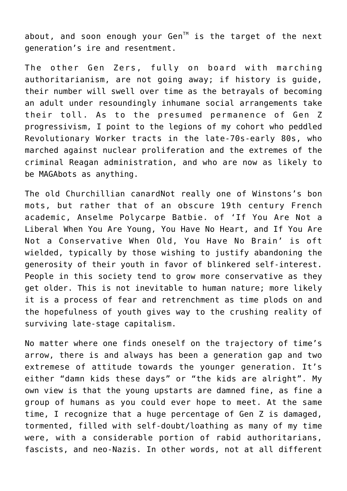about, and soon enough your Gen<sup> $M$ </sup> is the target of the next generation's ire and resentment.

The other Gen Zers, fully on board with marching authoritarianism, are not going away; if history is guide, their number will swell over time as the betrayals of becoming an adult under resoundingly inhumane social arrangements take their toll. As to the presumed permanence of Gen Z progressivism, I point to the legions of my cohort who peddled Revolutionary Worker tracts in the late-70s-early 80s, who marched against nuclear proliferation and the extremes of the criminal Reagan administration, and who are now as likely to be MAGAbots as anything.

The old Churchillian canardNot really one of Winstons's bon mots, but rather that of an obscure 19th century French academic, Anselme Polycarpe Batbie. of 'If You Are Not a Liberal When You Are Young, You Have No Heart, and If You Are Not a Conservative When Old, You Have No Brain' is oft wielded, typically by those wishing to justify abandoning the generosity of their youth in favor of blinkered self-interest. People in this society tend to grow more conservative as they get older. This is not inevitable to human nature; more likely it is a process of fear and retrenchment as time plods on and the hopefulness of youth gives way to the crushing reality of surviving late-stage capitalism.

No matter where one finds oneself on the trajectory of time's arrow, there is and always has been a generation gap and two extremese of attitude towards the younger generation. It's either "damn kids these days" or "the kids are alright". My own view is that the young upstarts are damned fine, as fine a group of humans as you could ever hope to meet. At the same time, I recognize that a huge percentage of Gen Z is damaged, tormented, filled with self-doubt/loathing as many of my time were, with a considerable portion of rabid authoritarians, fascists, and neo-Nazis. In other words, not at all different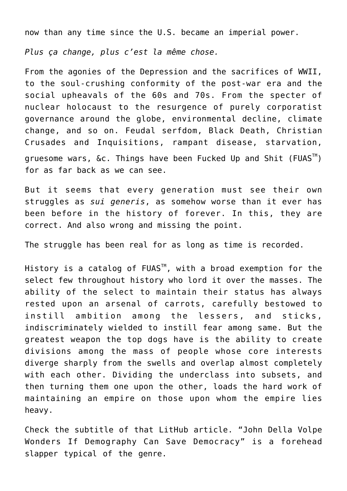now than any time since the U.S. became an imperial power.

*Plus ça change, plus c'est la même chose.*

From the agonies of the Depression and the sacrifices of WWII, to the soul-crushing conformity of the post-war era and the social upheavals of the 60s and 70s. From the specter of nuclear holocaust to the resurgence of purely corporatist governance around the globe, environmental decline, climate change, and so on. Feudal serfdom, Black Death, Christian Crusades and Inquisitions, rampant disease, starvation, gruesome wars, &c. Things have been Fucked Up and Shit (FUAS<sup>™</sup>) for as far back as we can see.

But it seems that every generation must see their own struggles as *sui generis*, as somehow worse than it ever has been before in the history of forever. In this, they are correct. And also wrong and missing the point.

The struggle has been real for as long as time is recorded.

History is a catalog of FUAS<sup>™</sup>, with a broad exemption for the select few throughout history who lord it over the masses. The ability of the select to maintain their status has always rested upon an arsenal of carrots, carefully bestowed to instill ambition among the lessers, and sticks, indiscriminately wielded to instill fear among same. But the greatest weapon the top dogs have is the ability to create divisions among the mass of people whose core interests diverge sharply from the swells and overlap almost completely with each other. Dividing the underclass into subsets, and then turning them one upon the other, loads the hard work of maintaining an empire on those upon whom the empire lies heavy.

Check the subtitle of that LitHub article. "John Della Volpe Wonders If Demography Can Save Democracy" is a forehead slapper typical of the genre.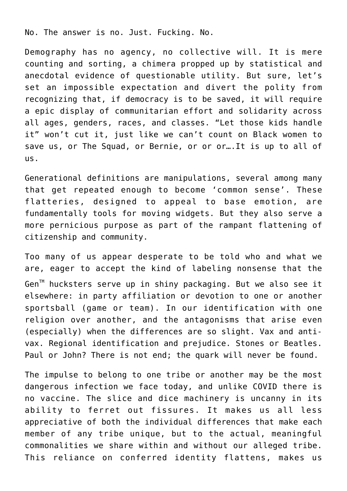No. The answer is no. Just. Fucking. No.

Demography has no agency, no collective will. It is mere counting and sorting, a chimera propped up by statistical and anecdotal evidence of questionable utility. But sure, let's set an impossible expectation and divert the polity from recognizing that, if democracy is to be saved, it will require a epic display of communitarian effort and solidarity across all ages, genders, races, and classes. "Let those kids handle it" won't cut it, just like we can't count on Black women to save us, or The Squad, or Bernie, or or or….It is up to all of us.

Generational definitions are manipulations, several among many that get repeated enough to become 'common sense'. These flatteries, designed to appeal to base emotion, are fundamentally tools for moving widgets. But they also serve a more pernicious purpose as part of the rampant flattening of citizenship and community.

Too many of us appear desperate to be told who and what we are, eager to accept the kind of labeling nonsense that the Gen<sup>™</sup> hucksters serve up in shiny packaging. But we also see it elsewhere: in party affiliation or devotion to one or another sportsball (game or team). In our identification with one religion over another, and the antagonisms that arise even (especially) when the differences are so slight. Vax and antivax. Regional identification and prejudice. Stones or Beatles. Paul or John? There is not end; the quark will never be found.

The impulse to belong to one tribe or another may be the most dangerous infection we face today, and unlike COVID there is no vaccine. The slice and dice machinery is uncanny in its ability to ferret out fissures. It makes us all less appreciative of both the individual differences that make each member of any tribe unique, but to the actual, meaningful commonalities we share within and without our alleged tribe. This reliance on conferred identity flattens, makes us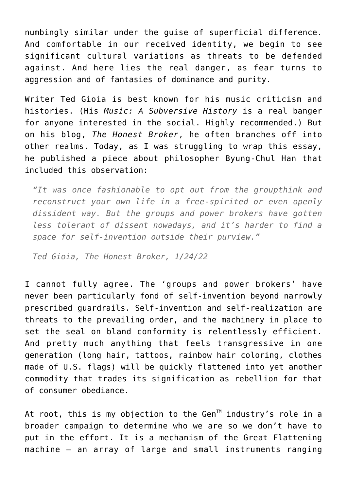numbingly similar under the guise of superficial difference. And comfortable in our received identity, we begin to see significant cultural variations as threats to be defended against. And here lies the real danger, as fear turns to aggression and of fantasies of dominance and purity.

Writer Ted Gioia is best known for his music criticism and histories. (His *[Music: A Subversive History](https://www.indiebound.org/book/9781541644373?aff=Roboi2b)* is a real banger for anyone interested in the social. Highly recommended.) But on his blog, *[The Honest Broker](https://tedgioia.substack.com/)*, he often branches off into other realms. Today, as I was struggling to wrap this essay, he published a piece about [philosopher Byung-Chul Han](https://tedgioia.substack.com/p/multitasking-isnt-progressits-what) that included this observation:

*"It was once fashionable to opt out from the groupthink and reconstruct your own life in a free-spirited or even openly dissident way. But the groups and power brokers have gotten less tolerant of dissent nowadays, and it's harder to find a space for self-invention outside their purview."*

*Ted Gioia, The Honest Broker, 1/24/22*

I cannot fully agree. The 'groups and power brokers' have never been particularly fond of self-invention beyond narrowly prescribed guardrails. Self-invention and self-realization are threats to the prevailing order, and the machinery in place to set the seal on bland conformity is relentlessly efficient. And pretty much anything that feels transgressive in one generation (long hair, tattoos, rainbow hair coloring, clothes made of U.S. flags) will be quickly flattened into yet another commodity that trades its signification as rebellion for that of consumer obediance.

At root, this is my objection to the Gen $^{\text{TM}}$  industry's role in a broader campaign to determine who we are so we don't have to put in the effort. It is a mechanism of the Great Flattening machine – an array of large and small instruments ranging